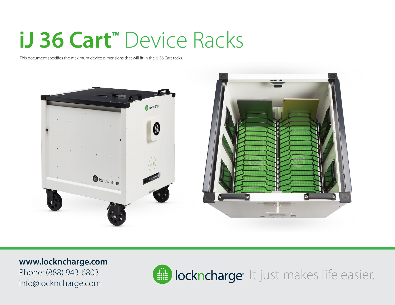## **iJ 36 Cart™** Device Racks

This document specifies the maximum device dimensions that will fit in the iJ 36 Cart racks.



**www.lockncharge.com** Phone: (888) 943-6803 info@lockncharge.com